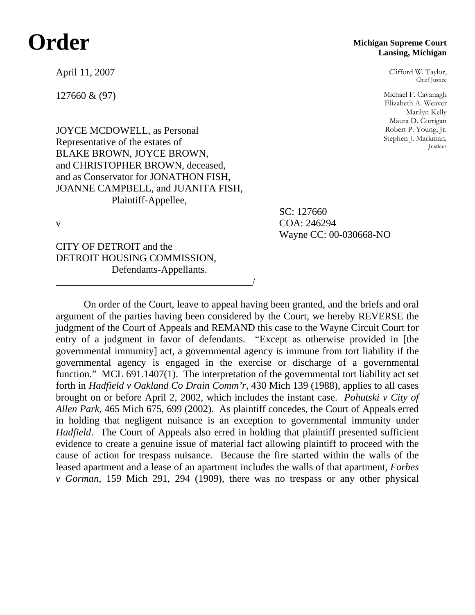## **Order**

April 11, 2007

127660 & (97)

**Michigan Supreme Court Lansing, Michigan**

> Clifford W. Taylor, Chief Justice

Michael F. Cavanagh Elizabeth A. Weaver Marilyn Kelly Maura D. Corrigan Robert P. Young, Jr. Stephen J. Markman, Justices

JOYCE MCDOWELL, as Personal Representative of the estates of BLAKE BROWN, JOYCE BROWN, and CHRISTOPHER BROWN, deceased, and as Conservator for JONATHON FISH, JOANNE CAMPBELL, and JUANITA FISH, Plaintiff-Appellee,

 SC: 127660 v COA: 246294 Wayne CC: 00-030668-NO

CITY OF DETROIT and the DETROIT HOUSING COMMISSION, Defendants-Appellants.

\_\_\_\_\_\_\_\_\_\_\_\_\_\_\_\_\_\_\_\_\_\_\_\_\_\_\_\_\_\_\_\_\_\_\_\_\_\_\_/

 On order of the Court, leave to appeal having been granted, and the briefs and oral argument of the parties having been considered by the Court, we hereby REVERSE the judgment of the Court of Appeals and REMAND this case to the Wayne Circuit Court for entry of a judgment in favor of defendants. "Except as otherwise provided in [the governmental immunity] act, a governmental agency is immune from tort liability if the governmental agency is engaged in the exercise or discharge of a governmental function." MCL 691.1407(1). The interpretation of the governmental tort liability act set forth in *Hadfield v Oakland Co Drain Comm'r,* 430 Mich 139 (1988), applies to all cases brought on or before April 2, 2002, which includes the instant case. *Pohutski v City of Allen Park,* 465 Mich 675, 699 (2002). As plaintiff concedes, the Court of Appeals erred in holding that negligent nuisance is an exception to governmental immunity under *Hadfield*. The Court of Appeals also erred in holding that plaintiff presented sufficient evidence to create a genuine issue of material fact allowing plaintiff to proceed with the cause of action for trespass nuisance. Because the fire started within the walls of the leased apartment and a lease of an apartment includes the walls of that apartment, *Forbes v Gorman,* 159 Mich 291, 294 (1909), there was no trespass or any other physical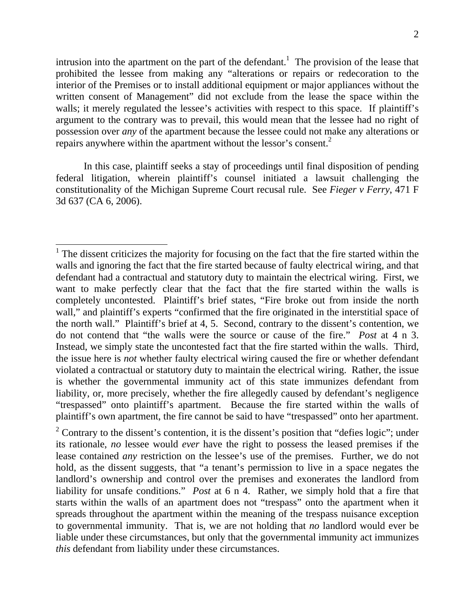intrusion into the apartment on the part of the defendant.<sup>1</sup> The provision of the lease that prohibited the lessee from making any "alterations or repairs or redecoration to the interior of the Premises or to install additional equipment or major appliances without the written consent of Management" did not exclude from the lease the space within the walls; it merely regulated the lessee's activities with respect to this space. If plaintiff's argument to the contrary was to prevail, this would mean that the lessee had no right of possession over *any* of the apartment because the lessee could not make any alterations or repairs anywhere within the apartment without the lessor's consent.<sup>2</sup>

 In this case, plaintiff seeks a stay of proceedings until final disposition of pending federal litigation, wherein plaintiff's counsel initiated a lawsuit challenging the constitutionality of the Michigan Supreme Court recusal rule. See *Fieger v Ferry*, 471 F 3d 637 (CA 6, 2006).

i<br>L

 $<sup>1</sup>$  The dissent criticizes the majority for focusing on the fact that the fire started within the</sup> walls and ignoring the fact that the fire started because of faulty electrical wiring, and that defendant had a contractual and statutory duty to maintain the electrical wiring. First, we want to make perfectly clear that the fact that the fire started within the walls is completely uncontested. Plaintiff's brief states, "Fire broke out from inside the north wall," and plaintiff's experts "confirmed that the fire originated in the interstitial space of the north wall." Plaintiff's brief at 4, 5. Second, contrary to the dissent's contention, we do not contend that "the walls were the source or cause of the fire." *Post* at 4 n 3. Instead, we simply state the uncontested fact that the fire started within the walls. Third, the issue here is *not* whether faulty electrical wiring caused the fire or whether defendant violated a contractual or statutory duty to maintain the electrical wiring. Rather, the issue is whether the governmental immunity act of this state immunizes defendant from liability, or, more precisely, whether the fire allegedly caused by defendant's negligence "trespassed" onto plaintiff's apartment. Because the fire started within the walls of plaintiff's own apartment, the fire cannot be said to have "trespassed" onto her apartment.

<sup>&</sup>lt;sup>2</sup> Contrary to the dissent's contention, it is the dissent's position that "defies logic"; under its rationale, *no* lessee would *ever* have the right to possess the leased premises if the lease contained *any* restriction on the lessee's use of the premises. Further, we do not hold, as the dissent suggests, that "a tenant's permission to live in a space negates the landlord's ownership and control over the premises and exonerates the landlord from liability for unsafe conditions." *Post* at 6 n 4. Rather, we simply hold that a fire that starts within the walls of an apartment does not "trespass" onto the apartment when it spreads throughout the apartment within the meaning of the trespass nuisance exception to governmental immunity. That is, we are not holding that *no* landlord would ever be liable under these circumstances, but only that the governmental immunity act immunizes *this* defendant from liability under these circumstances.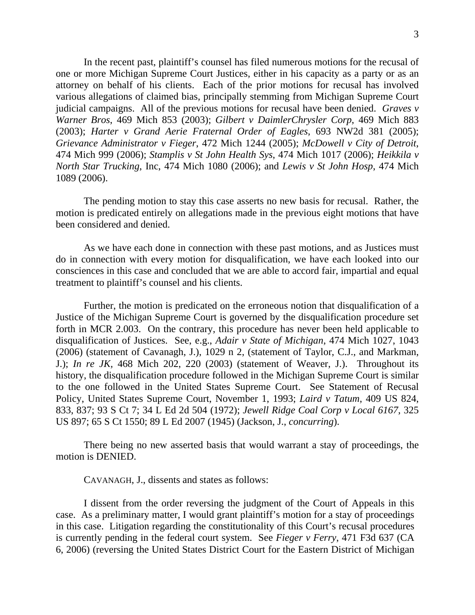In the recent past, plaintiff's counsel has filed numerous motions for the recusal of one or more Michigan Supreme Court Justices, either in his capacity as a party or as an attorney on behalf of his clients. Each of the prior motions for recusal has involved various allegations of claimed bias, principally stemming from Michigan Supreme Court judicial campaigns. All of the previous motions for recusal have been denied. *Graves v Warner Bros*, 469 Mich 853 (2003); *Gilbert v DaimlerChrysler Corp*, 469 Mich 883 (2003); *Harter v Grand Aerie Fraternal Order of Eagles*, 693 NW2d 381 (2005); *Grievance Administrator v Fieger*, 472 Mich 1244 (2005); *McDowell v City of Detroit*, 474 Mich 999 (2006); *Stamplis v St John Health Sys*, 474 Mich 1017 (2006); *Heikkila v North Star Trucking*, Inc, 474 Mich 1080 (2006); and *Lewis v St John Hosp*, 474 Mich 1089 (2006).

 The pending motion to stay this case asserts no new basis for recusal. Rather, the motion is predicated entirely on allegations made in the previous eight motions that have been considered and denied.

 As we have each done in connection with these past motions, and as Justices must do in connection with every motion for disqualification, we have each looked into our consciences in this case and concluded that we are able to accord fair, impartial and equal treatment to plaintiff's counsel and his clients.

 Further, the motion is predicated on the erroneous notion that disqualification of a Justice of the Michigan Supreme Court is governed by the disqualification procedure set forth in MCR 2.003. On the contrary, this procedure has never been held applicable to disqualification of Justices. See, e.g., *Adair v State of Michigan*, 474 Mich 1027, 1043 (2006) (statement of Cavanagh, J.), 1029 n 2, (statement of Taylor, C.J., and Markman, J.); *In re JK,* 468 Mich 202, 220 (2003) (statement of Weaver, J.). Throughout its history, the disqualification procedure followed in the Michigan Supreme Court is similar to the one followed in the United States Supreme Court. See Statement of Recusal Policy, United States Supreme Court, November 1, 1993; *Laird v Tatum*, 409 US 824, 833, 837; 93 S Ct 7; 34 L Ed 2d 504 (1972); *Jewell Ridge Coal Corp v Local 6167*, 325 US 897; 65 S Ct 1550; 89 L Ed 2007 (1945) (Jackson, J., *concurring*).

 There being no new asserted basis that would warrant a stay of proceedings, the motion is DENIED.

CAVANAGH, J., dissents and states as follows:

I dissent from the order reversing the judgment of the Court of Appeals in this case. As a preliminary matter, I would grant plaintiff's motion for a stay of proceedings in this case. Litigation regarding the constitutionality of this Court's recusal procedures is currently pending in the federal court system. See *Fieger v Ferry*, 471 F3d 637 (CA 6, 2006) (reversing the United States District Court for the Eastern District of Michigan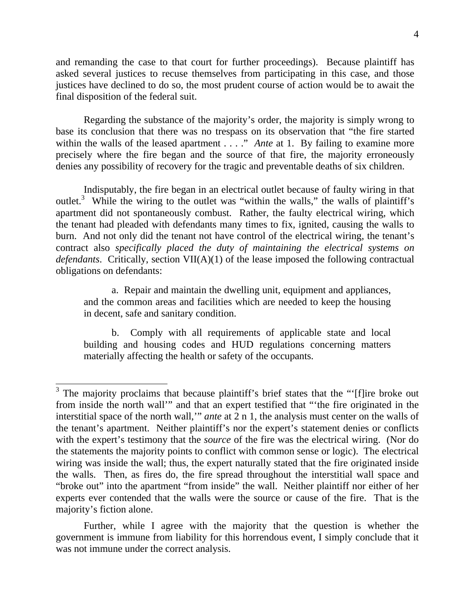and remanding the case to that court for further proceedings). Because plaintiff has asked several justices to recuse themselves from participating in this case, and those justices have declined to do so, the most prudent course of action would be to await the final disposition of the federal suit.

Regarding the substance of the majority's order, the majority is simply wrong to base its conclusion that there was no trespass on its observation that "the fire started within the walls of the leased apartment . . . ." *Ante* at 1. By failing to examine more precisely where the fire began and the source of that fire, the majority erroneously denies any possibility of recovery for the tragic and preventable deaths of six children.

Indisputably, the fire began in an electrical outlet because of faulty wiring in that outlet.<sup>3</sup> While the wiring to the outlet was "within the walls," the walls of plaintiff's apartment did not spontaneously combust. Rather, the faulty electrical wiring, which the tenant had pleaded with defendants many times to fix, ignited, causing the walls to burn. And not only did the tenant not have control of the electrical wiring, the tenant's contract also *specifically placed the duty of maintaining the electrical systems on defendants*. Critically, section VII(A)(1) of the lease imposed the following contractual obligations on defendants:

a. Repair and maintain the dwelling unit, equipment and appliances, and the common areas and facilities which are needed to keep the housing in decent, safe and sanitary condition.

b. Comply with all requirements of applicable state and local building and housing codes and HUD regulations concerning matters materially affecting the health or safety of the occupants.

i<br>L

 Further, while I agree with the majority that the question is whether the government is immune from liability for this horrendous event, I simply conclude that it was not immune under the correct analysis.

 $3$  The majority proclaims that because plaintiff's brief states that the "'[f]ire broke out from inside the north wall'" and that an expert testified that "'the fire originated in the interstitial space of the north wall,'" *ante* at 2 n 1, the analysis must center on the walls of the tenant's apartment. Neither plaintiff's nor the expert's statement denies or conflicts with the expert's testimony that the *source* of the fire was the electrical wiring. (Nor do the statements the majority points to conflict with common sense or logic). The electrical wiring was inside the wall; thus, the expert naturally stated that the fire originated inside the walls. Then, as fires do, the fire spread throughout the interstitial wall space and "broke out" into the apartment "from inside" the wall. Neither plaintiff nor either of her experts ever contended that the walls were the source or cause of the fire. That is the majority's fiction alone.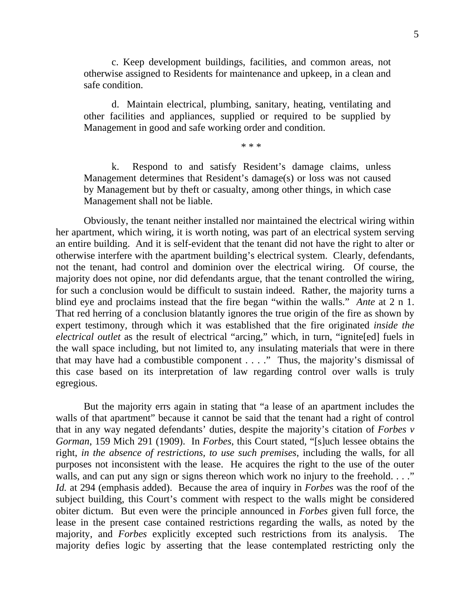c. Keep development buildings, facilities, and common areas, not otherwise assigned to Residents for maintenance and upkeep, in a clean and safe condition.

d. Maintain electrical, plumbing, sanitary, heating, ventilating and other facilities and appliances, supplied or required to be supplied by Management in good and safe working order and condition.

\* \* \*

k. Respond to and satisfy Resident's damage claims, unless Management determines that Resident's damage(s) or loss was not caused by Management but by theft or casualty, among other things, in which case Management shall not be liable.

Obviously, the tenant neither installed nor maintained the electrical wiring within her apartment, which wiring, it is worth noting, was part of an electrical system serving an entire building. And it is self-evident that the tenant did not have the right to alter or otherwise interfere with the apartment building's electrical system. Clearly, defendants, not the tenant, had control and dominion over the electrical wiring. Of course, the majority does not opine, nor did defendants argue, that the tenant controlled the wiring, for such a conclusion would be difficult to sustain indeed. Rather, the majority turns a blind eye and proclaims instead that the fire began "within the walls." *Ante* at 2 n 1. That red herring of a conclusion blatantly ignores the true origin of the fire as shown by expert testimony, through which it was established that the fire originated *inside the electrical outlet* as the result of electrical "arcing," which, in turn, "ignite[ed] fuels in the wall space including, but not limited to, any insulating materials that were in there that may have had a combustible component . . . ." Thus, the majority's dismissal of this case based on its interpretation of law regarding control over walls is truly egregious.

But the majority errs again in stating that "a lease of an apartment includes the walls of that apartment" because it cannot be said that the tenant had a right of control that in any way negated defendants' duties, despite the majority's citation of *Forbes v Gorman*, 159 Mich 291 (1909). In *Forbes*, this Court stated, "[s]uch lessee obtains the right, *in the absence of restrictions, to use such premises*, including the walls, for all purposes not inconsistent with the lease. He acquires the right to the use of the outer walls, and can put any sign or signs thereon which work no injury to the freehold. . . ." *Id.* at 294 (emphasis added). Because the area of inquiry in *Forbes* was the roof of the subject building, this Court's comment with respect to the walls might be considered obiter dictum. But even were the principle announced in *Forbes* given full force, the lease in the present case contained restrictions regarding the walls, as noted by the majority, and *Forbes* explicitly excepted such restrictions from its analysis. The majority defies logic by asserting that the lease contemplated restricting only the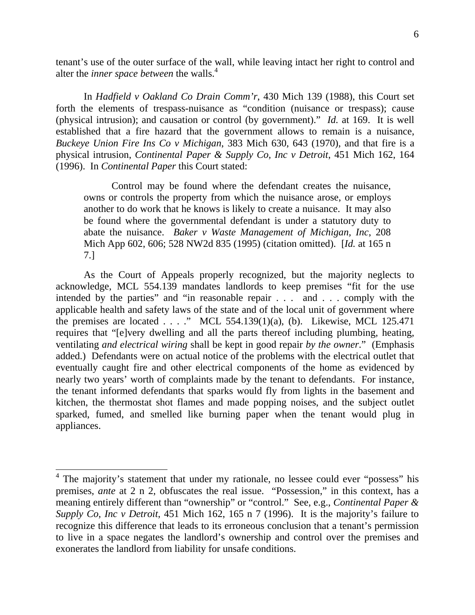tenant's use of the outer surface of the wall, while leaving intact her right to control and alter the *inner space between* the walls.<sup>4</sup>

In *Hadfield v Oakland Co Drain Comm'r*, 430 Mich 139 (1988), this Court set forth the elements of trespass-nuisance as "condition (nuisance or trespass); cause (physical intrusion); and causation or control (by government)." *Id.* at 169. It is well established that a fire hazard that the government allows to remain is a nuisance, *Buckeye Union Fire Ins Co v Michigan*, 383 Mich 630, 643 (1970), and that fire is a physical intrusion, *Continental Paper & Supply Co, Inc v Detroit*, 451 Mich 162, 164 (1996). In *Continental Paper* this Court stated:

Control may be found where the defendant creates the nuisance, owns or controls the property from which the nuisance arose, or employs another to do work that he knows is likely to create a nuisance. It may also be found where the governmental defendant is under a statutory duty to abate the nuisance. *Baker v Waste Management of Michigan, Inc*, 208 Mich App 602, 606; 528 NW2d 835 (1995) (citation omitted). [*Id.* at 165 n 7.]

As the Court of Appeals properly recognized, but the majority neglects to acknowledge, MCL 554.139 mandates landlords to keep premises "fit for the use intended by the parties" and "in reasonable repair . . . and . . . comply with the applicable health and safety laws of the state and of the local unit of government where the premises are located  $\ldots$  ." MCL 554.139(1)(a), (b). Likewise, MCL 125.471 requires that "[e]very dwelling and all the parts thereof including plumbing, heating, ventilating *and electrical wiring* shall be kept in good repair *by the owner*." (Emphasis added.) Defendants were on actual notice of the problems with the electrical outlet that eventually caught fire and other electrical components of the home as evidenced by nearly two years' worth of complaints made by the tenant to defendants. For instance, the tenant informed defendants that sparks would fly from lights in the basement and kitchen, the thermostat shot flames and made popping noises, and the subject outlet sparked, fumed, and smelled like burning paper when the tenant would plug in appliances.

i<br>L

<sup>&</sup>lt;sup>4</sup> The majority's statement that under my rationale, no lessee could ever "possess" his premises, *ante* at 2 n 2, obfuscates the real issue. "Possession," in this context, has a meaning entirely different than "ownership" or "control." See, e.g., *Continental Paper & Supply Co, Inc v Detroit*, 451 Mich 162, 165 n 7 (1996). It is the majority's failure to recognize this difference that leads to its erroneous conclusion that a tenant's permission to live in a space negates the landlord's ownership and control over the premises and exonerates the landlord from liability for unsafe conditions.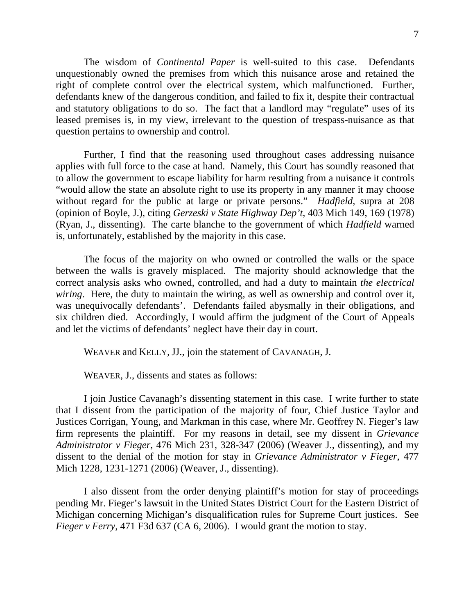The wisdom of *Continental Paper* is well-suited to this case. Defendants unquestionably owned the premises from which this nuisance arose and retained the right of complete control over the electrical system, which malfunctioned. Further, defendants knew of the dangerous condition, and failed to fix it, despite their contractual and statutory obligations to do so. The fact that a landlord may "regulate" uses of its leased premises is, in my view, irrelevant to the question of trespass-nuisance as that question pertains to ownership and control.

Further, I find that the reasoning used throughout cases addressing nuisance applies with full force to the case at hand. Namely, this Court has soundly reasoned that to allow the government to escape liability for harm resulting from a nuisance it controls "would allow the state an absolute right to use its property in any manner it may choose without regard for the public at large or private persons." *Hadfield*, supra at 208 (opinion of Boyle, J.), citing *Gerzeski v State Highway Dep't*, 403 Mich 149, 169 (1978) (Ryan, J., dissenting). The carte blanche to the government of which *Hadfield* warned is, unfortunately, established by the majority in this case.

The focus of the majority on who owned or controlled the walls or the space between the walls is gravely misplaced. The majority should acknowledge that the correct analysis asks who owned, controlled, and had a duty to maintain *the electrical wiring*. Here, the duty to maintain the wiring, as well as ownership and control over it, was unequivocally defendants'. Defendants failed abysmally in their obligations, and six children died. Accordingly, I would affirm the judgment of the Court of Appeals and let the victims of defendants' neglect have their day in court.

WEAVER and KELLY, JJ., join the statement of CAVANAGH, J.

WEAVER, J., dissents and states as follows:

 I join Justice Cavanagh's dissenting statement in this case. I write further to state that I dissent from the participation of the majority of four, Chief Justice Taylor and Justices Corrigan, Young, and Markman in this case, where Mr. Geoffrey N. Fieger's law firm represents the plaintiff. For my reasons in detail, see my dissent in *Grievance Administrator v Fieger,* 476 Mich 231, 328-347 (2006) (Weaver J., dissenting), and my dissent to the denial of the motion for stay in *Grievance Administrator v Fieger,* 477 Mich 1228, 1231-1271 (2006) (Weaver, J., dissenting).

 I also dissent from the order denying plaintiff's motion for stay of proceedings pending Mr. Fieger's lawsuit in the United States District Court for the Eastern District of Michigan concerning Michigan's disqualification rules for Supreme Court justices. See *Fieger v Ferry*, 471 F3d 637 (CA 6, 2006). I would grant the motion to stay.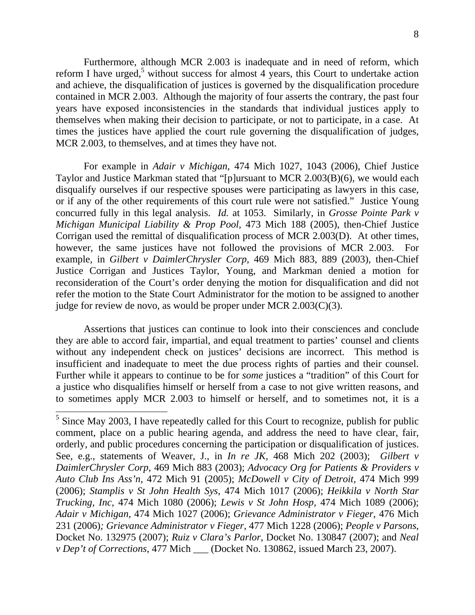Furthermore, although MCR 2.003 is inadequate and in need of reform, which reform I have urged,<sup>5</sup> without success for almost 4 years, this Court to undertake action and achieve, the disqualification of justices is governed by the disqualification procedure contained in MCR 2.003. Although the majority of four asserts the contrary, the past four years have exposed inconsistencies in the standards that individual justices apply to themselves when making their decision to participate, or not to participate, in a case. At times the justices have applied the court rule governing the disqualification of judges, MCR 2.003, to themselves, and at times they have not.

 For example in *Adair v Michigan,* 474 Mich 1027, 1043 (2006), Chief Justice Taylor and Justice Markman stated that "[p]ursuant to MCR 2.003(B)(6), we would each disqualify ourselves if our respective spouses were participating as lawyers in this case, or if any of the other requirements of this court rule were not satisfied." Justice Young concurred fully in this legal analysis. *Id.* at 1053. Similarly, in *Grosse Pointe Park v Michigan Municipal Liability & Prop Pool,* 473 Mich 188 (2005), then-Chief Justice Corrigan used the remittal of disqualification process of MCR 2.003(D). At other times, however, the same justices have not followed the provisions of MCR 2.003. example, in *Gilbert v DaimlerChrysler Corp,* 469 Mich 883, 889 (2003), then-Chief Justice Corrigan and Justices Taylor, Young, and Markman denied a motion for reconsideration of the Court's order denying the motion for disqualification and did not refer the motion to the State Court Administrator for the motion to be assigned to another judge for review de novo, as would be proper under MCR 2.003(C)(3).

 Assertions that justices can continue to look into their consciences and conclude they are able to accord fair, impartial, and equal treatment to parties' counsel and clients without any independent check on justices' decisions are incorrect. This method is insufficient and inadequate to meet the due process rights of parties and their counsel. Further while it appears to continue to be for *some* justices a "tradition" of this Court for a justice who disqualifies himself or herself from a case to not give written reasons, and to sometimes apply MCR 2.003 to himself or herself, and to sometimes not, it is a

i<br>L

 $<sup>5</sup>$  Since May 2003, I have repeatedly called for this Court to recognize, publish for public</sup> comment, place on a public hearing agenda, and address the need to have clear, fair, orderly, and public procedures concerning the participation or disqualification of justices. See, e.g., statements of Weaver, J., in *In re JK,* 468 Mich 202 (2003); *Gilbert v DaimlerChrysler Corp,* 469 Mich 883 (2003); *Advocacy Org for Patients & Providers v Auto Club Ins Ass'n*, 472 Mich 91 (2005); *McDowell v City of Detroit,* 474 Mich 999 (2006); *Stamplis v St John Health Sys*, 474 Mich 1017 (2006); *Heikkila v North Star Trucking, Inc,* 474 Mich 1080 (2006); *Lewis v St John Hosp,* 474 Mich 1089 (2006); *Adair v Michigan,* 474 Mich 1027 (2006); *Grievance Administrator v Fieger,* 476 Mich 231 (2006)*; Grievance Administrator v Fieger*, 477 Mich 1228 (2006); *People v Parsons*, Docket No. 132975 (2007); *Ruiz v Clara's Parlor*, Docket No. 130847 (2007); and *Neal v Dep't of Corrections*, 477 Mich \_\_\_ (Docket No. 130862, issued March 23, 2007).